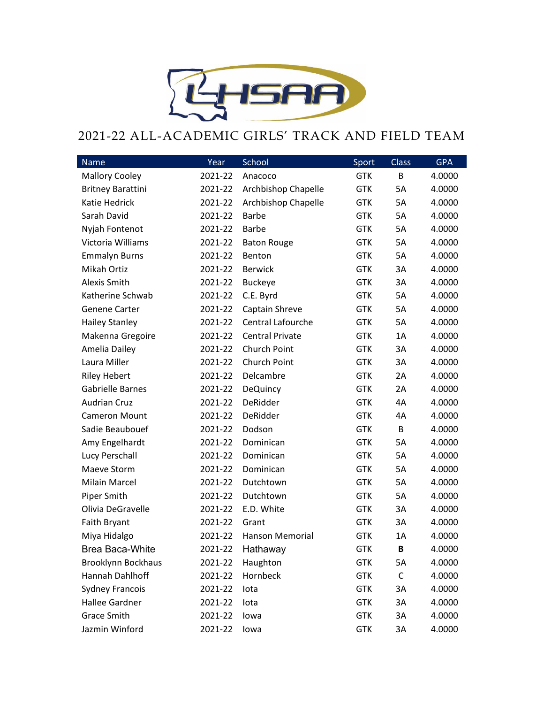

## 2021-22 ALL-ACADEMIC GIRLS' TRACK AND FIELD TEAM

| Name                      | Year    | School                 | Sport      | Class | <b>GPA</b> |
|---------------------------|---------|------------------------|------------|-------|------------|
| <b>Mallory Cooley</b>     | 2021-22 | Anacoco                | <b>GTK</b> | В     | 4.0000     |
| <b>Britney Barattini</b>  | 2021-22 | Archbishop Chapelle    | <b>GTK</b> | 5A    | 4.0000     |
| Katie Hedrick             | 2021-22 | Archbishop Chapelle    | <b>GTK</b> | 5A    | 4.0000     |
| Sarah David               | 2021-22 | <b>Barbe</b>           | <b>GTK</b> | 5A    | 4.0000     |
| Nyjah Fontenot            | 2021-22 | <b>Barbe</b>           | <b>GTK</b> | 5A    | 4.0000     |
| Victoria Williams         | 2021-22 | <b>Baton Rouge</b>     | <b>GTK</b> | 5A    | 4.0000     |
| <b>Emmalyn Burns</b>      | 2021-22 | Benton                 | <b>GTK</b> | 5A    | 4.0000     |
| Mikah Ortiz               | 2021-22 | <b>Berwick</b>         | <b>GTK</b> | 3A    | 4.0000     |
| Alexis Smith              | 2021-22 | <b>Buckeye</b>         | <b>GTK</b> | 3A    | 4.0000     |
| Katherine Schwab          | 2021-22 | C.E. Byrd              | <b>GTK</b> | 5A    | 4.0000     |
| <b>Genene Carter</b>      | 2021-22 | Captain Shreve         | <b>GTK</b> | 5A    | 4.0000     |
| <b>Hailey Stanley</b>     | 2021-22 | Central Lafourche      | <b>GTK</b> | 5A    | 4.0000     |
| Makenna Gregoire          | 2021-22 | <b>Central Private</b> | <b>GTK</b> | 1A    | 4.0000     |
| Amelia Dailey             | 2021-22 | Church Point           | <b>GTK</b> | 3A    | 4.0000     |
| Laura Miller              | 2021-22 | Church Point           | <b>GTK</b> | 3A    | 4.0000     |
| <b>Riley Hebert</b>       | 2021-22 | Delcambre              | <b>GTK</b> | 2A    | 4.0000     |
| <b>Gabrielle Barnes</b>   | 2021-22 | <b>DeQuincy</b>        | <b>GTK</b> | 2A    | 4.0000     |
| <b>Audrian Cruz</b>       | 2021-22 | DeRidder               | <b>GTK</b> | 4A    | 4.0000     |
| <b>Cameron Mount</b>      | 2021-22 | DeRidder               | <b>GTK</b> | 4A    | 4.0000     |
| Sadie Beaubouef           | 2021-22 | Dodson                 | <b>GTK</b> | B     | 4.0000     |
| Amy Engelhardt            | 2021-22 | Dominican              | <b>GTK</b> | 5A    | 4.0000     |
| Lucy Perschall            | 2021-22 | Dominican              | <b>GTK</b> | 5A    | 4.0000     |
| Maeve Storm               | 2021-22 | Dominican              | <b>GTK</b> | 5A    | 4.0000     |
| <b>Milain Marcel</b>      | 2021-22 | Dutchtown              | <b>GTK</b> | 5A    | 4.0000     |
| Piper Smith               | 2021-22 | Dutchtown              | <b>GTK</b> | 5A    | 4.0000     |
| Olivia DeGravelle         | 2021-22 | E.D. White             | <b>GTK</b> | 3A    | 4.0000     |
| Faith Bryant              | 2021-22 | Grant                  | <b>GTK</b> | 3A    | 4.0000     |
| Miya Hidalgo              | 2021-22 | Hanson Memorial        | <b>GTK</b> | 1A    | 4.0000     |
| <b>Brea Baca-White</b>    | 2021-22 | Hathaway               | <b>GTK</b> | B     | 4.0000     |
| <b>Brooklynn Bockhaus</b> | 2021-22 | Haughton               | <b>GTK</b> | 5A    | 4.0000     |
| Hannah Dahlhoff           | 2021-22 | Hornbeck               | <b>GTK</b> | C     | 4.0000     |
| <b>Sydney Francois</b>    | 2021-22 | lota                   | <b>GTK</b> | 3A    | 4.0000     |
| <b>Hallee Gardner</b>     | 2021-22 | lota                   | <b>GTK</b> | 3A    | 4.0000     |
| <b>Grace Smith</b>        | 2021-22 | lowa                   | <b>GTK</b> | 3A    | 4.0000     |
| Jazmin Winford            | 2021-22 | lowa                   | <b>GTK</b> | 3A    | 4.0000     |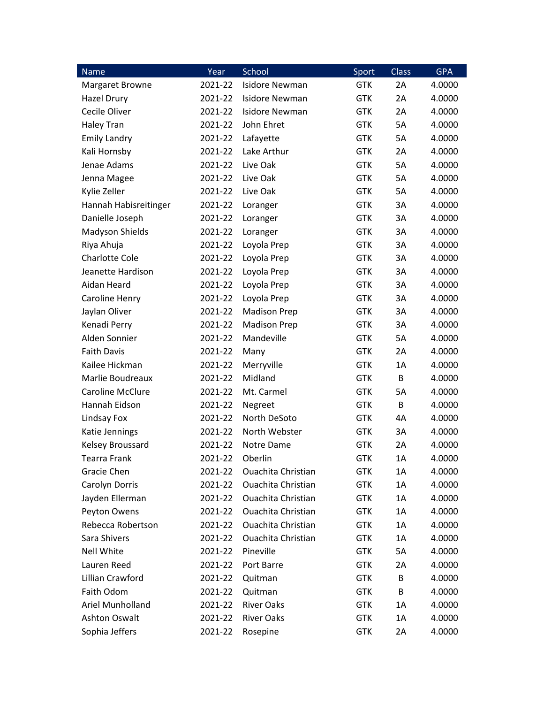| <b>Name</b>             | Year    | School                    | Sport      | Class | <b>GPA</b> |
|-------------------------|---------|---------------------------|------------|-------|------------|
| <b>Margaret Browne</b>  | 2021-22 | <b>Isidore Newman</b>     | <b>GTK</b> | 2A    | 4.0000     |
| Hazel Drury             | 2021-22 | <b>Isidore Newman</b>     | <b>GTK</b> | 2A    | 4.0000     |
| Cecile Oliver           | 2021-22 | <b>Isidore Newman</b>     | <b>GTK</b> | 2A    | 4.0000     |
| <b>Haley Tran</b>       | 2021-22 | John Ehret                | <b>GTK</b> | 5A    | 4.0000     |
| <b>Emily Landry</b>     | 2021-22 | Lafayette                 | <b>GTK</b> | 5A    | 4.0000     |
| Kali Hornsby            | 2021-22 | Lake Arthur               | <b>GTK</b> | 2A    | 4.0000     |
| Jenae Adams             | 2021-22 | Live Oak                  | <b>GTK</b> | 5A    | 4.0000     |
| Jenna Magee             | 2021-22 | Live Oak                  | <b>GTK</b> | 5A    | 4.0000     |
| Kylie Zeller            | 2021-22 | Live Oak                  | <b>GTK</b> | 5A    | 4.0000     |
| Hannah Habisreitinger   | 2021-22 | Loranger                  | <b>GTK</b> | 3A    | 4.0000     |
| Danielle Joseph         | 2021-22 | Loranger                  | <b>GTK</b> | 3A    | 4.0000     |
| Madyson Shields         | 2021-22 | Loranger                  | <b>GTK</b> | 3A    | 4.0000     |
| Riya Ahuja              | 2021-22 | Loyola Prep               | <b>GTK</b> | 3A    | 4.0000     |
| <b>Charlotte Cole</b>   | 2021-22 | Loyola Prep               | <b>GTK</b> | 3A    | 4.0000     |
| Jeanette Hardison       | 2021-22 | Loyola Prep               | <b>GTK</b> | 3A    | 4.0000     |
| Aidan Heard             | 2021-22 | Loyola Prep               | <b>GTK</b> | 3A    | 4.0000     |
| Caroline Henry          | 2021-22 | Loyola Prep               | <b>GTK</b> | 3A    | 4.0000     |
| Jaylan Oliver           | 2021-22 | <b>Madison Prep</b>       | <b>GTK</b> | 3A    | 4.0000     |
| Kenadi Perry            | 2021-22 | <b>Madison Prep</b>       | <b>GTK</b> | 3A    | 4.0000     |
| Alden Sonnier           | 2021-22 | Mandeville                | <b>GTK</b> | 5A    | 4.0000     |
| <b>Faith Davis</b>      | 2021-22 | Many                      | <b>GTK</b> | 2A    | 4.0000     |
| Kailee Hickman          | 2021-22 | Merryville                | <b>GTK</b> | 1A    | 4.0000     |
| Marlie Boudreaux        | 2021-22 | Midland                   | <b>GTK</b> | B     | 4.0000     |
| <b>Caroline McClure</b> | 2021-22 | Mt. Carmel                | <b>GTK</b> | 5A    | 4.0000     |
| Hannah Eidson           | 2021-22 | Negreet                   | <b>GTK</b> | B     | 4.0000     |
| Lindsay Fox             | 2021-22 | North DeSoto              | <b>GTK</b> | 4A    | 4.0000     |
| Katie Jennings          | 2021-22 | North Webster             | <b>GTK</b> | 3A    | 4.0000     |
| Kelsey Broussard        | 2021-22 | Notre Dame                | <b>GTK</b> | 2A    | 4.0000     |
| <b>Tearra Frank</b>     | 2021-22 | Oberlin                   | <b>GTK</b> | 1A    | 4.0000     |
| Gracie Chen             | 2021-22 | <b>Ouachita Christian</b> | <b>GTK</b> | 1A    | 4.0000     |
| Carolyn Dorris          | 2021-22 | <b>Ouachita Christian</b> | <b>GTK</b> | 1A    | 4.0000     |
| Jayden Ellerman         | 2021-22 | <b>Ouachita Christian</b> | <b>GTK</b> | 1A    | 4.0000     |
| Peyton Owens            | 2021-22 | <b>Ouachita Christian</b> | <b>GTK</b> | 1A    | 4.0000     |
| Rebecca Robertson       | 2021-22 | <b>Ouachita Christian</b> | <b>GTK</b> | 1A    | 4.0000     |
| Sara Shivers            | 2021-22 | <b>Ouachita Christian</b> | <b>GTK</b> | 1A    | 4.0000     |
| <b>Nell White</b>       | 2021-22 | Pineville                 | <b>GTK</b> | 5A    | 4.0000     |
| Lauren Reed             | 2021-22 | Port Barre                | <b>GTK</b> | 2A    | 4.0000     |
| Lillian Crawford        | 2021-22 | Quitman                   | <b>GTK</b> | В     | 4.0000     |
| Faith Odom              | 2021-22 | Quitman                   | <b>GTK</b> | В     | 4.0000     |
| Ariel Munholland        | 2021-22 | <b>River Oaks</b>         | <b>GTK</b> | 1A    | 4.0000     |
| <b>Ashton Oswalt</b>    | 2021-22 | <b>River Oaks</b>         | <b>GTK</b> | 1A    | 4.0000     |
| Sophia Jeffers          | 2021-22 | Rosepine                  | <b>GTK</b> | 2A    | 4.0000     |